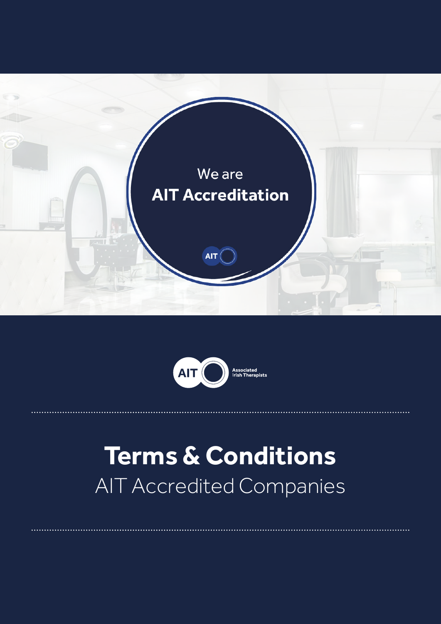



# **Terms & Conditions** AIT Accredited Companies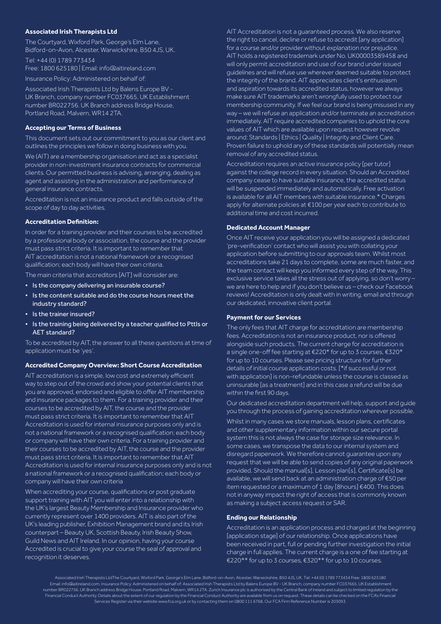# **Associated Irish Therapists Ltd**

The Courtyard, Wixford Park, George's Elm Lane, Bidford-on-Avon, Alcester, Warwickshire, B50 4JS, UK.

Tel: +44 (0) 1789 773434 Free: 1800 625180 | Email: info@aitireland.com

Insurance Policy: Administered on behalf of:

Associated Irish Therapists Ltd by Balens Europe BV - UK Branch, company number FC037665, UK Establishment number BR022756. UK Branch address Bridge House, Portland Road, Malvern, WR14 2TA.

## **Accepting our Terms of Business**

This document sets out our commitment to you as our client and outlines the principles we follow in doing business with you.

We (AIT) are a membership organisation and act as a specialist provider in non-investment insurance contracts for commercial clients. Our permitted business is advising, arranging, dealing as agent and assisting in the administration and performance of general insurance contracts.

Accreditation is not an insurance product and falls outside of the scope of day to day activities.

# **Accreditation Definition:**

In order for a training provider and their courses to be accredited by a professional body or association, the course and the provider must pass strict criteria. It is important to remember that AIT accreditation is not a national framework or a recognised qualification; each body will have their own criteria.

The main criteria that accreditors [AIT] will consider are:

- Is the company delivering an insurable course?
- Is the content suitable and do the course hours meet the industry standard?
- Is the trainer insured?
- Is the training being delivered by a teacher qualified to Pttls or AET standard?

To be accredited by AIT, the answer to all these questions at time of application must be 'yes'.

## **Accredited Company Overview: Short Course Accreditation**

AIT accreditation is a simple, low cost and extremely efficient way to step out of the crowd and show your potential clients that you are approved, endorsed and eligible to offer AIT membership and insurance packages to them. For a training provider and their courses to be accredited by AIT, the course and the provider must pass strict criteria. It is important to remember that AIT Accreditation is used for internal insurance purposes only and is not a national framework or a recognised qualification; each body or company will have their own criteria. For a training provider and their courses to be accredited by AIT, the course and the provider must pass strict criteria. It is important to remember that AIT Accreditation is used for internal insurance purposes only and is not a national framework or a recognised qualification; each body or company will have their own criteria

When accrediting your course, qualifications or post graduate support training with AIT you will enter into a relationship with the UK's largest Beauty Membership and Insurance provider who currently represent over 1400 providers. AIT is also part of the UK's leading publisher, Exhibition Management brand and its Irish counterpart – Beauty UK, Scottish Beauty, Irish Beauty Show, Guild News and AIT Ireland. In our opinion, having your course Accredited is crucial to give your course the seal of approval and recognition it deserves.

AIT Accreditation is not a guaranteed process. We also reserve the right to cancel, decline or refuse to accredit [any application] for a course and/or provider without explanation nor prejudice. AIT holds a registered trademark under No. UK00003589458 and will only permit accreditation and use of our brand under issued guidelines and will refuse use wherever deemed suitable to protect the integrity of the brand. AIT appreciates client's enthusiasm and aspiration towards its accredited status, however we always make sure AIT trademarks aren't wrongfully used to protect our membership community. If we feel our brand is being misused in any way – we will refuse an application and/or terminate an accreditation immediately. AIT require accredited companies to uphold the core values of AIT which are available upon request however revolve around: Standards | Ethics | Quality | Integrity and Client Care. Proven failure to uphold any of these standards will potentially mean removal of any accredited status.

Accreditation requires an active insurance policy [per tutor] against the college record in every situation. Should an Accredited company cease to have suitable insurance, the accredited status will be suspended immediately and automatically. Free activation is available for all AIT members with suitable insurance.\* Charges apply for alternate policies at €100 per year each to contribute to additional time and cost incurred.

# **Dedicated Account Manager**

Once AIT receive your application you will be assigned a dedicated 'pre-verification' contact who will assist you with collating your application before submitting to our approvals team. Whilst most accreditations take 21 days to complete, some are much faster, and the team contact will keep you informed every step of the way. This exclusive service takes all the stress out of applying, so don't worry – we are here to help and if you don't believe us – check our Facebook reviews! Accreditation is only dealt with in writing, email and through our dedicated, innovative client portal.

#### **Payment for our Services**

The only fees that AIT charge for accreditation are membership fees. Accreditation is not an insurance product, nor is offered alongside such products. The current charge for accreditation is a single one-off fee starting at €220\* for up to 3 courses, €320\* for up to 10 courses. Please see pricing structure for further details of initial course application costs. [\*if successful or not with application] is non-refundable unless the course is classed as uninsurable [as a treatment] and in this case a refund will be due within the first 90 days.

Our dedicated accreditation department will help, support and guide you through the process of gaining accreditation wherever possible.

Whilst in many cases we store manuals, lesson plans, certificates and other supplementary information within our secure portal system this is not always the case for storage size relevance. In some cases, we transpose the data to our internal system and disregard paperwork. We therefore cannot guarantee upon any request that we will be able to send copies of any original paperwork provided. Should the manual[s], Lesson plan[s], Certificate[s] be available, we will send back at an administration charge of €50 per item requested or a maximum of 1 day [8hours] €400. This does not in anyway impact the right of access that is commonly known as making a subject access request or SAR.

#### **Ending our Relationship**

Accreditation is an application process and charged at the beginning [application stage] of our relationship. Once applications have been received in part, full or pending further investigation the initial charge in full applies. The current charge is a one of fee starting at €220\*\* for up to 3 courses, €320\*\* for up to 10 courses.

Associated Irish Therapists LtdThe Courtyard, Wixford Park, George's Elm Lane, Bidford-on-Avon, Alcester, Warwickshire, B50 4JS, UK. Tel: +44 (0) 1789 773434 Free: 1800 625180 Email: info@aitireland.com, Insurance Policy: Administered on behalf of: Associated Irish Therapists Ltd by Balens Europe BV - UK Branch, company number FC037665, UK Establishment number BR022756. UK Branch address Bridge House, Portland Road, Malvern, WR14 2TA. Zurich Insurance plc is authorised by the Central Bank of Ireland and subject to limited regulation by the Financial Conduct Authority. Details about the extent of our regulation by the Financial Conduct Authority are available from us on request. These details can be checked on the FCA's Financial Services Register via their website www.fca.org.uk or by contacting them on 0800 111 6768. Our FCA Firm Reference Number is 203093.